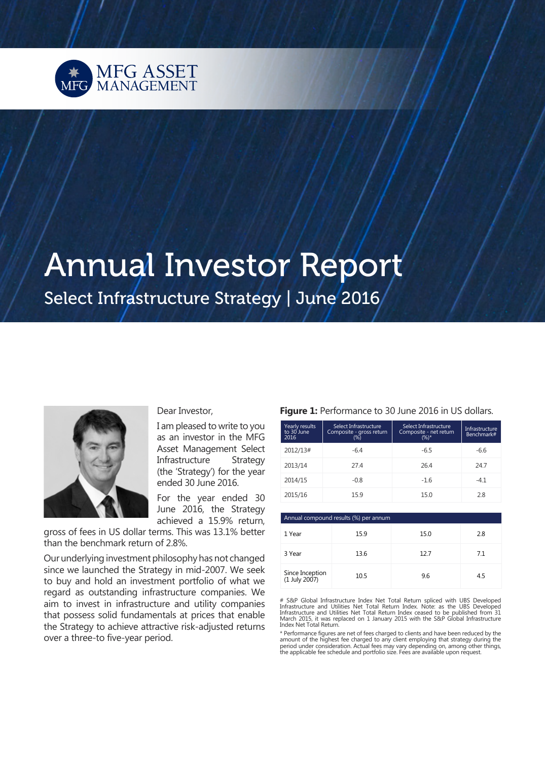

# Annual Investor Report

Select Infrastructure Strategy | June 2016



#### Dear Investor,

I am pleased to write to you as an investor in the MFG Asset Management Select Infrastructure Strategy (the 'Strategy') for the year ended 30 June 2016.

For the year ended 30 June 2016, the Strategy achieved a 15.9% return,

gross of fees in US dollar terms. This was 13.1% better than the benchmark return of 2.8%.

Our underlying investment philosophy has not changed since we launched the Strategy in mid-2007. We seek to buy and hold an investment portfolio of what we regard as outstanding infrastructure companies. We aim to invest in infrastructure and utility companies that possess solid fundamentals at prices that enable the Strategy to achieve attractive risk-adjusted returns over a three-to five-year period.

#### Figure 1: Performance to 30 June 2016 in US dollars.

| Yearly results<br>to 30 June<br>2016 | Select Infrastructure<br>Composite - gross return | Select Infrastructure<br>Composite - net return<br>$(%)^*$ | Infrastructure<br>Benchmark# |
|--------------------------------------|---------------------------------------------------|------------------------------------------------------------|------------------------------|
| 2012/13#                             | $-6.4$                                            | $-6.5$                                                     | $-6.6$                       |
| 2013/14                              | 27.4                                              | 26.4                                                       | 24.7                         |
| 2014/15                              | $-0.8$                                            | $-1.6$                                                     | $-4.1$                       |
| 2015/16                              | 15.9                                              | 15.0                                                       | 2.8                          |
|                                      |                                                   |                                                            |                              |

| Annual compound results (%) per annum |      |      |     |  |  |
|---------------------------------------|------|------|-----|--|--|
| 1 Year                                | 15.9 | 15.0 | 2.8 |  |  |
| 3 Year                                | 13.6 | 12.7 | 7.1 |  |  |
| Since Inception<br>(1 July 2007)      | 10.5 | 9.6  | 4.5 |  |  |

# S&P Global Infrastructure Index Net Total Return spliced with UBS Developed<br>Infrastructure and Utilities Net Total Return Index. Note: as the UBS Developed<br>Infrastructure and Utilities Net Total Return Index ceased to be

\* Performance figures are net of fees charged to clients and have been reduced by the amount of the highest fee charged to any client employing that strategy during the<br>period under consideration. Actual fees may vary depending on, among other things,<br>the applicable fee schedule and portfolio size. Fees are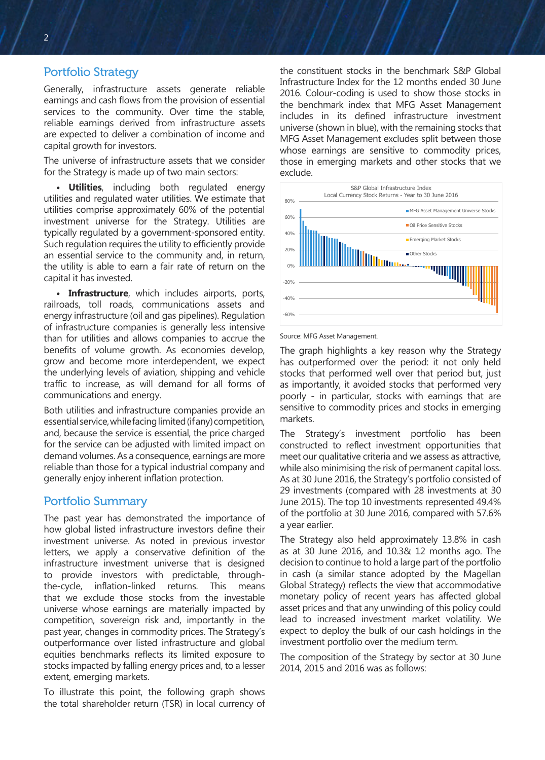## Portfolio Strategy

Generally, infrastructure assets generate reliable earnings and cash flows from the provision of essential services to the community. Over time the stable, reliable earnings derived from infrastructure assets are expected to deliver a combination of income and capital growth for investors.

The universe of infrastructure assets that we consider for the Strategy is made up of two main sectors:

**• Utilities**, including both regulated energy utilities and regulated water utilities. We estimate that utilities comprise approximately 60% of the potential investment universe for the Strategy. Utilities are typically regulated by a government-sponsored entity. Such regulation requires the utility to efficiently provide an essential service to the community and, in return, the utility is able to earn a fair rate of return on the capital it has invested.

**• Infrastructure**, which includes airports, ports, railroads, toll roads, communications assets and energy infrastructure (oil and gas pipelines). Regulation of infrastructure companies is generally less intensive than for utilities and allows companies to accrue the benefits of volume growth. As economies develop, grow and become more interdependent, we expect the underlying levels of aviation, shipping and vehicle traffic to increase, as will demand for all forms of communications and energy.

Both utilities and infrastructure companies provide an essential service, while facing limited (if any) competition, and, because the service is essential, the price charged for the service can be adjusted with limited impact on demand volumes. As a consequence, earnings are more reliable than those for a typical industrial company and generally enjoy inherent inflation protection.

## Portfolio Summary

The past year has demonstrated the importance of how global listed infrastructure investors define their investment universe. As noted in previous investor letters, we apply a conservative definition of the infrastructure investment universe that is designed to provide investors with predictable, throughthe-cycle, inflation-linked returns. This means that we exclude those stocks from the investable universe whose earnings are materially impacted by competition, sovereign risk and, importantly in the past year, changes in commodity prices. The Strategy's outperformance over listed infrastructure and global equities benchmarks reflects its limited exposure to stocks impacted by falling energy prices and, to a lesser extent, emerging markets.

To illustrate this point, the following graph shows the total shareholder return (TSR) in local currency of the constituent stocks in the benchmark S&P Global Infrastructure Index for the 12 months ended 30 June 2016. Colour-coding is used to show those stocks in the benchmark index that MFG Asset Management includes in its defined infrastructure investment universe (shown in blue), with the remaining stocks that MFG Asset Management excludes split between those whose earnings are sensitive to commodity prices, those in emerging markets and other stocks that we exclude.



Source: MFG Asset Management.

The graph highlights a key reason why the Strategy has outperformed over the period: it not only held stocks that performed well over that period but, just as importantly, it avoided stocks that performed very poorly - in particular, stocks with earnings that are sensitive to commodity prices and stocks in emerging markets.

The Strategy's investment portfolio has been constructed to reflect investment opportunities that meet our qualitative criteria and we assess as attractive, while also minimising the risk of permanent capital loss. As at 30 June 2016, the Strategy's portfolio consisted of 29 investments (compared with 28 investments at 30 June 2015). The top 10 investments represented 49.4% of the portfolio at 30 June 2016, compared with 57.6% a year earlier.

The Strategy also held approximately 13.8% in cash as at 30 June 2016, and 10.3& 12 months ago. The decision to continue to hold a large part of the portfolio in cash (a similar stance adopted by the Magellan Global Strategy) reflects the view that accommodative monetary policy of recent years has affected global asset prices and that any unwinding of this policy could lead to increased investment market volatility. We expect to deploy the bulk of our cash holdings in the investment portfolio over the medium term.

The composition of the Strategy by sector at 30 June 2014, 2015 and 2016 was as follows: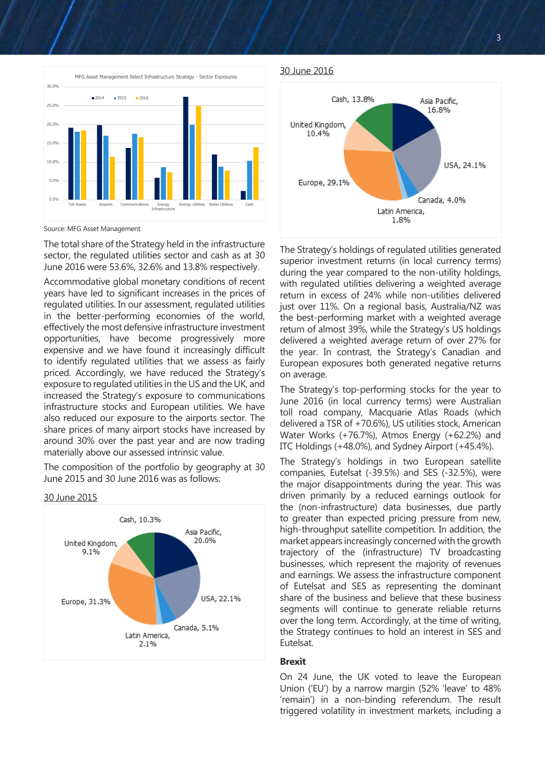

Source: MFG Asset Management.

The total share of the Strategy held in the infrastructure sector, the regulated utilities sector and cash as at 30 June 2016 were 53.6%, 32.6% and 13.8% respectively.

Accommodative global monetary conditions of recent years have led to significant increases in the prices of regulated utilities. In our assessment, regulated utilities in the better-performing economies of the world, effectively the most defensive infrastructure investment opportunities, have become progressively more expensive and we have found it increasingly difficult to identify regulated utilities that we assess as fairly priced. Accordingly, we have reduced the Strategy's exposure to regulated utilities in the US and the UK, and increased the Strategy's exposure to communications infrastructure stocks and European utilities. We have also reduced our exposure to the airports sector. The share prices of many airport stocks have increased by around 30% over the past year and are now trading materially above our assessed intrinsic value.

The composition of the portfolio by geography at 30 June 2015 and 30 June 2016 was as follows:

30 June 2015



#### 30 June 2016



The Strategy's holdings of regulated utilities generated superior investment returns (in local currency terms) during the year compared to the non-utility holdings, with regulated utilities delivering a weighted average return in excess of 24% while non-utilities delivered just over 11%. On a regional basis, Australia/NZ was the best-performing market with a weighted average return of almost 39%, while the Strategy's US holdings delivered a weighted average return of over 27% for the year. In contrast, the Strategy's Canadian and European exposures both generated negative returns on average.

The Strategy's top-performing stocks for the year to June 2016 (in local currency terms) were Australian toll road company, Macquarie Atlas Roads (which delivered a TSR of +70.6%), US utilities stock, American Water Works (+76.7%), Atmos Energy (+62.2%) and ITC Holdings (+48.0%), and Sydney Airport (+45.4%).

The Strategy's holdings in two European satellite companies, Eutelsat (-39.5%) and SES (-32.5%), were the major disappointments during the year. This was driven primarily by a reduced earnings outlook for the (non-infrastructure) data businesses, due partly to greater than expected pricing pressure from new, high-throughput satellite competition. In addition, the market appears increasingly concerned with the growth trajectory of the (infrastructure) TV broadcasting businesses, which represent the majority of revenues and earnings. We assess the infrastructure component of Eutelsat and SES as representing the dominant share of the business and believe that these business segments will continue to generate reliable returns over the long term. Accordingly, at the time of writing, the Strategy continues to hold an interest in SES and Eutelsat.

#### **Brexit**

On 24 June, the UK voted to leave the European Union ('EU') by a narrow margin (52% 'leave' to 48% 'remain') in a non-binding referendum. The result triggered volatility in investment markets, including a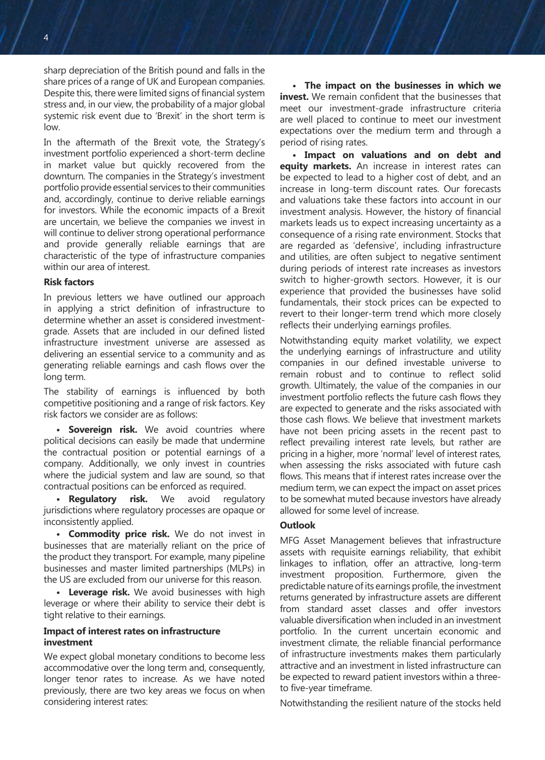sharp depreciation of the British pound and falls in the share prices of a range of UK and European companies. Despite this, there were limited signs of financial system stress and, in our view, the probability of a major global systemic risk event due to 'Brexit' in the short term is low.

In the aftermath of the Brexit vote, the Strategy's investment portfolio experienced a short-term decline in market value but quickly recovered from the downturn. The companies in the Strategy's investment portfolio provide essential services to their communities and, accordingly, continue to derive reliable earnings for investors. While the economic impacts of a Brexit are uncertain, we believe the companies we invest in will continue to deliver strong operational performance and provide generally reliable earnings that are characteristic of the type of infrastructure companies within our area of interest.

#### **Risk factors**

In previous letters we have outlined our approach in applying a strict definition of infrastructure to determine whether an asset is considered investmentgrade. Assets that are included in our defined listed infrastructure investment universe are assessed as delivering an essential service to a community and as generating reliable earnings and cash flows over the long term.

The stability of earnings is influenced by both competitive positioning and a range of risk factors. Key risk factors we consider are as follows:

**• Sovereign risk.** We avoid countries where political decisions can easily be made that undermine the contractual position or potential earnings of a company. Additionally, we only invest in countries where the judicial system and law are sound, so that contractual positions can be enforced as required.

**• Regulatory risk.** We avoid regulatory jurisdictions where regulatory processes are opaque or inconsistently applied.

**• Commodity price risk.** We do not invest in businesses that are materially reliant on the price of the product they transport. For example, many pipeline businesses and master limited partnerships (MLPs) in the US are excluded from our universe for this reason.

**• Leverage risk.** We avoid businesses with high leverage or where their ability to service their debt is tight relative to their earnings.

## **Impact of interest rates on infrastructure investment**

We expect global monetary conditions to become less accommodative over the long term and, consequently, longer tenor rates to increase. As we have noted previously, there are two key areas we focus on when considering interest rates:

**• The impact on the businesses in which we invest.** We remain confident that the businesses that meet our investment-grade infrastructure criteria are well placed to continue to meet our investment expectations over the medium term and through a period of rising rates.

**• Impact on valuations and on debt and equity markets.** An increase in interest rates can be expected to lead to a higher cost of debt, and an increase in long-term discount rates. Our forecasts and valuations take these factors into account in our investment analysis. However, the history of financial markets leads us to expect increasing uncertainty as a consequence of a rising rate environment. Stocks that are regarded as 'defensive', including infrastructure and utilities, are often subject to negative sentiment during periods of interest rate increases as investors switch to higher-growth sectors. However, it is our experience that provided the businesses have solid fundamentals, their stock prices can be expected to revert to their longer-term trend which more closely reflects their underlying earnings profiles.

Notwithstanding equity market volatility, we expect the underlying earnings of infrastructure and utility companies in our defined investable universe to remain robust and to continue to reflect solid growth. Ultimately, the value of the companies in our investment portfolio reflects the future cash flows they are expected to generate and the risks associated with those cash flows. We believe that investment markets have not been pricing assets in the recent past to reflect prevailing interest rate levels, but rather are pricing in a higher, more 'normal' level of interest rates, when assessing the risks associated with future cash flows. This means that if interest rates increase over the medium term, we can expect the impact on asset prices to be somewhat muted because investors have already allowed for some level of increase.

#### **Outlook**

MFG Asset Management believes that infrastructure assets with requisite earnings reliability, that exhibit linkages to inflation, offer an attractive, long-term investment proposition. Furthermore, given the predictable nature of its earnings profile, the investment returns generated by infrastructure assets are different from standard asset classes and offer investors valuable diversification when included in an investment portfolio. In the current uncertain economic and investment climate, the reliable financial performance of infrastructure investments makes them particularly attractive and an investment in listed infrastructure can be expected to reward patient investors within a threeto five-year timeframe.

Notwithstanding the resilient nature of the stocks held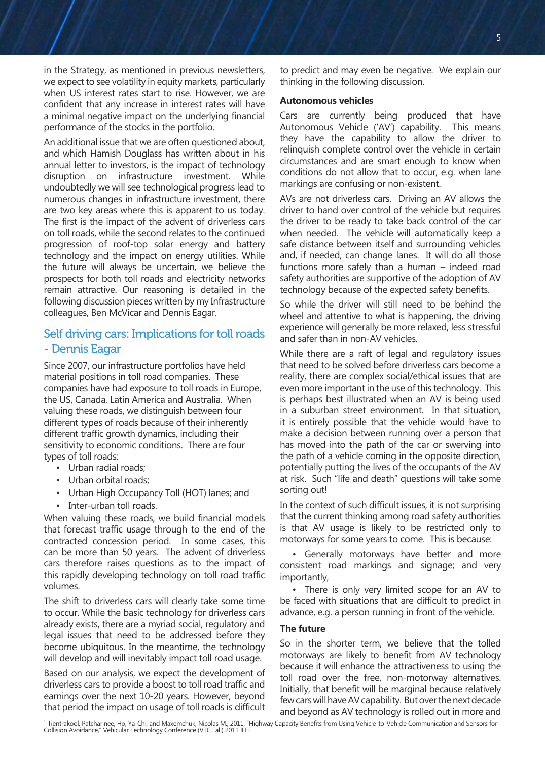in the Strategy, as mentioned in previous newsletters, we expect to see volatility in equity markets, particularly when US interest rates start to rise. However, we are confident that any increase in interest rates will have a minimal negative impact on the underlying financial performance of the stocks in the portfolio.

An additional issue that we are often questioned about, and which Hamish Douglass has written about in his annual letter to investors, is the impact of technology disruption on infrastructure investment. While undoubtedly we will see technological progress lead to numerous changes in infrastructure investment, there are two key areas where this is apparent to us today. The first is the impact of the advent of driverless cars on toll roads, while the second relates to the continued progression of roof-top solar energy and battery technology and the impact on energy utilities. While the future will always be uncertain, we believe the prospects for both toll roads and electricity networks remain attractive. Our reasoning is detailed in the following discussion pieces written by my Infrastructure colleagues, Ben McVicar and Dennis Eagar.

## Self driving cars: Implications for toll roads - Dennis Eagar

Since 2007, our infrastructure portfolios have held material positions in toll road companies. These companies have had exposure to toll roads in Europe, the US, Canada, Latin America and Australia. When valuing these roads, we distinguish between four different types of roads because of their inherently different traffic growth dynamics, including their sensitivity to economic conditions. There are four types of toll roads:

- Urban radial roads;
- Urban orbital roads;
- Urban High Occupancy Toll (HOT) lanes; and
- Inter-urban toll roads.

When valuing these roads, we build financial models that forecast traffic usage through to the end of the contracted concession period. In some cases, this can be more than 50 years. The advent of driverless cars therefore raises questions as to the impact of this rapidly developing technology on toll road traffic volumes.

The shift to driverless cars will clearly take some time to occur. While the basic technology for driverless cars already exists, there are a myriad social, regulatory and legal issues that need to be addressed before they become ubiquitous. In the meantime, the technology will develop and will inevitably impact toll road usage.

Based on our analysis, we expect the development of driverless cars to provide a boost to toll road traffic and earnings over the next 10-20 years. However, beyond that period the impact on usage of toll roads is difficult

to predict and may even be negative. We explain our thinking in the following discussion.

#### **Autonomous vehicles**

Cars are currently being produced that have Autonomous Vehicle ('AV') capability. This means they have the capability to allow the driver to relinquish complete control over the vehicle in certain circumstances and are smart enough to know when conditions do not allow that to occur, e.g. when lane markings are confusing or non-existent.

AVs are not driverless cars. Driving an AV allows the driver to hand over control of the vehicle but requires the driver to be ready to take back control of the car when needed. The vehicle will automatically keep a safe distance between itself and surrounding vehicles and, if needed, can change lanes. It will do all those functions more safely than a human – indeed road safety authorities are supportive of the adoption of AV technology because of the expected safety benefits.

So while the driver will still need to be behind the wheel and attentive to what is happening, the driving experience will generally be more relaxed, less stressful and safer than in non-AV vehicles.

While there are a raft of legal and regulatory issues that need to be solved before driverless cars become a reality, there are complex social/ethical issues that are even more important in the use of this technology. This is perhaps best illustrated when an AV is being used in a suburban street environment. In that situation, it is entirely possible that the vehicle would have to make a decision between running over a person that has moved into the path of the car or swerving into the path of a vehicle coming in the opposite direction, potentially putting the lives of the occupants of the AV at risk. Such "life and death" questions will take some sorting out!

In the context of such difficult issues, it is not surprising that the current thinking among road safety authorities is that AV usage is likely to be restricted only to motorways for some years to come. This is because:

• Generally motorways have better and more consistent road markings and signage; and very importantly,

• There is only very limited scope for an AV to be faced with situations that are difficult to predict in advance, e.g. a person running in front of the vehicle.

### **The future**

So in the shorter term, we believe that the tolled motorways are likely to benefit from AV technology because it will enhance the attractiveness to using the toll road over the free, non-motorway alternatives. Initially, that benefit will be marginal because relatively few cars will have AV capability. But over the next decade

and the termination in the implact on usage of ton roads is difficult and beyond as AV technology is rolled out in more and<br>I Tientrakool, Patcharinee, Ho, Ya-Chi, and Maxemchuk, Nicolas M., 2011, "Highway Capacity Benefit Collision Avoidance," Vehicular Technology Conference (VTC Fall) 2011 IEEE.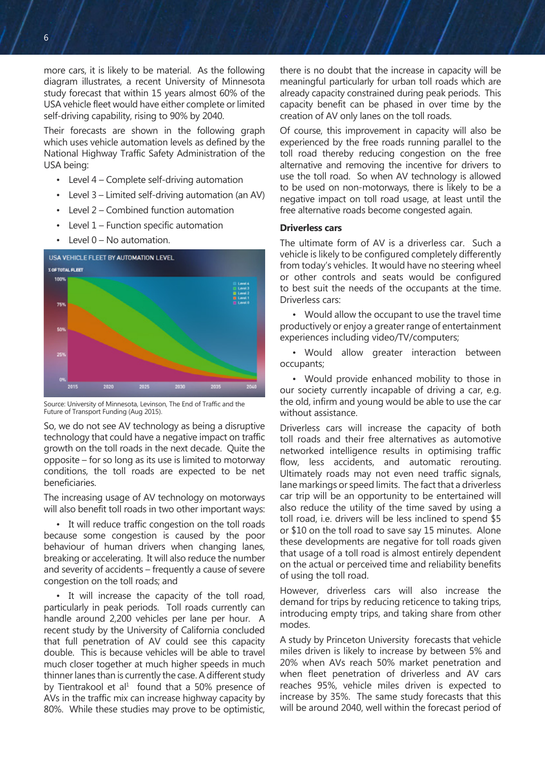more cars, it is likely to be material. As the following diagram illustrates, a recent University of Minnesota study forecast that within 15 years almost 60% of the USA vehicle fleet would have either complete or limited self-driving capability, rising to 90% by 2040.

Their forecasts are shown in the following graph which uses vehicle automation levels as defined by the National Highway Traffic Safety Administration of the USA being:

- Level 4 Complete self-driving automation
- Level 3 Limited self-driving automation (an AV)
- Level 2 Combined function automation
- Level  $1$  Function specific automation
- Level 0 No automation.



Source: University of Minnesota, Levinson, The End of Traffic and the Future of Transport Funding (Aug 2015).

So, we do not see AV technology as being a disruptive technology that could have a negative impact on traffic growth on the toll roads in the next decade. Quite the opposite – for so long as its use is limited to motorway conditions, the toll roads are expected to be net beneficiaries.

The increasing usage of AV technology on motorways will also benefit toll roads in two other important ways:

• It will reduce traffic congestion on the toll roads because some congestion is caused by the poor behaviour of human drivers when changing lanes, breaking or accelerating. It will also reduce the number and severity of accidents – frequently a cause of severe congestion on the toll roads; and

• It will increase the capacity of the toll road, particularly in peak periods. Toll roads currently can handle around 2,200 vehicles per lane per hour. A recent study by the University of California concluded that full penetration of AV could see this capacity double. This is because vehicles will be able to travel much closer together at much higher speeds in much thinner lanes than is currently the case. A different study by Tientrakool et al<sup>1</sup> found that a 50% presence of AVs in the traffic mix can increase highway capacity by 80%. While these studies may prove to be optimistic,

there is no doubt that the increase in capacity will be meaningful particularly for urban toll roads which are already capacity constrained during peak periods. This capacity benefit can be phased in over time by the creation of AV only lanes on the toll roads.

Of course, this improvement in capacity will also be experienced by the free roads running parallel to the toll road thereby reducing congestion on the free alternative and removing the incentive for drivers to use the toll road. So when AV technology is allowed to be used on non-motorways, there is likely to be a negative impact on toll road usage, at least until the free alternative roads become congested again.

#### **Driverless cars**

The ultimate form of AV is a driverless car. Such a vehicle is likely to be configured completely differently from today's vehicles. It would have no steering wheel or other controls and seats would be configured to best suit the needs of the occupants at the time. Driverless cars:

• Would allow the occupant to use the travel time productively or enjoy a greater range of entertainment experiences including video/TV/computers;

• Would allow greater interaction between occupants;

• Would provide enhanced mobility to those in our society currently incapable of driving a car, e.g. the old, infirm and young would be able to use the car without assistance.

Driverless cars will increase the capacity of both toll roads and their free alternatives as automotive networked intelligence results in optimising traffic flow, less accidents, and automatic rerouting. Ultimately roads may not even need traffic signals, lane markings or speed limits. The fact that a driverless car trip will be an opportunity to be entertained will also reduce the utility of the time saved by using a toll road, i.e. drivers will be less inclined to spend \$5 or \$10 on the toll road to save say 15 minutes. Alone these developments are negative for toll roads given that usage of a toll road is almost entirely dependent on the actual or perceived time and reliability benefits of using the toll road.

However, driverless cars will also increase the demand for trips by reducing reticence to taking trips, introducing empty trips, and taking share from other modes.

A study by Princeton University forecasts that vehicle miles driven is likely to increase by between 5% and 20% when AVs reach 50% market penetration and when fleet penetration of driverless and AV cars reaches 95%, vehicle miles driven is expected to increase by 35%. The same study forecasts that this will be around 2040, well within the forecast period of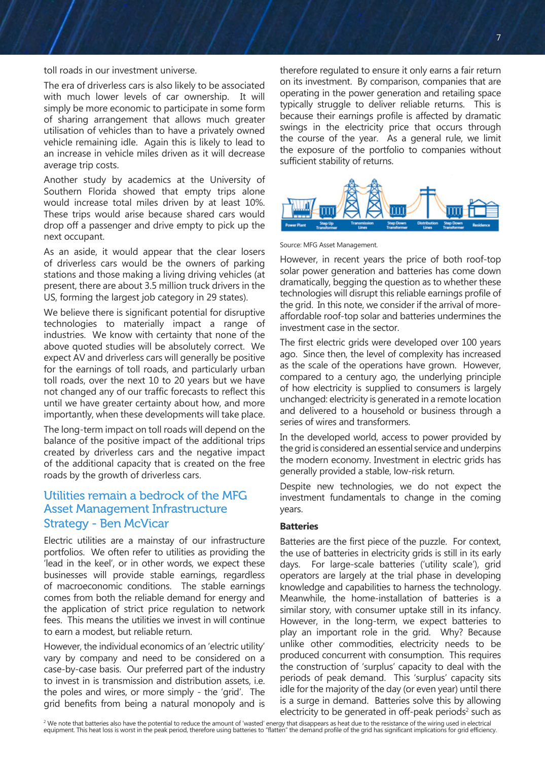toll roads in our investment universe.

The era of driverless cars is also likely to be associated with much lower levels of car ownership. It will simply be more economic to participate in some form of sharing arrangement that allows much greater utilisation of vehicles than to have a privately owned vehicle remaining idle. Again this is likely to lead to an increase in vehicle miles driven as it will decrease average trip costs.

Another study by academics at the University of Southern Florida showed that empty trips alone would increase total miles driven by at least 10%. These trips would arise because shared cars would drop off a passenger and drive empty to pick up the next occupant.

As an aside, it would appear that the clear losers of driverless cars would be the owners of parking stations and those making a living driving vehicles (at present, there are about 3.5 million truck drivers in the US, forming the largest job category in 29 states).

We believe there is significant potential for disruptive technologies to materially impact a range of industries. We know with certainty that none of the above quoted studies will be absolutely correct. We expect AV and driverless cars will generally be positive for the earnings of toll roads, and particularly urban toll roads, over the next 10 to 20 years but we have not changed any of our traffic forecasts to reflect this until we have greater certainty about how, and more importantly, when these developments will take place.

The long-term impact on toll roads will depend on the balance of the positive impact of the additional trips created by driverless cars and the negative impact of the additional capacity that is created on the free roads by the growth of driverless cars.

# Utilities remain a bedrock of the MFG Asset Management Infrastructure Strategy - Ben McVicar

Electric utilities are a mainstay of our infrastructure portfolios. We often refer to utilities as providing the 'lead in the keel', or in other words, we expect these businesses will provide stable earnings, regardless of macroeconomic conditions. The stable earnings comes from both the reliable demand for energy and the application of strict price regulation to network fees. This means the utilities we invest in will continue to earn a modest, but reliable return.

However, the individual economics of an 'electric utility' vary by company and need to be considered on a case-by-case basis. Our preferred part of the industry to invest in is transmission and distribution assets, i.e. the poles and wires, or more simply - the 'grid'. The grid benefits from being a natural monopoly and is

therefore regulated to ensure it only earns a fair return on its investment. By comparison, companies that are operating in the power generation and retailing space typically struggle to deliver reliable returns. This is because their earnings profile is affected by dramatic swings in the electricity price that occurs through the course of the year. As a general rule, we limit the exposure of the portfolio to companies without sufficient stability of returns.



Source: MFG Asset Management.

However, in recent years the price of both roof-top solar power generation and batteries has come down dramatically, begging the question as to whether these technologies will disrupt this reliable earnings profile of the grid. In this note, we consider if the arrival of moreaffordable roof-top solar and batteries undermines the investment case in the sector.

The first electric grids were developed over 100 years ago. Since then, the level of complexity has increased as the scale of the operations have grown. However, compared to a century ago, the underlying principle of how electricity is supplied to consumers is largely unchanged: electricity is generated in a remote location and delivered to a household or business through a series of wires and transformers.

In the developed world, access to power provided by the grid is considered an essential service and underpins the modern economy. Investment in electric grids has generally provided a stable, low-risk return.

Despite new technologies, we do not expect the investment fundamentals to change in the coming years.

#### **Batteries**

Batteries are the first piece of the puzzle. For context, the use of batteries in electricity grids is still in its early days. For large-scale batteries ('utility scale'), grid operators are largely at the trial phase in developing knowledge and capabilities to harness the technology. Meanwhile, the home-installation of batteries is a similar story, with consumer uptake still in its infancy. However, in the long-term, we expect batteries to play an important role in the grid. Why? Because unlike other commodities, electricity needs to be produced concurrent with consumption. This requires the construction of 'surplus' capacity to deal with the periods of peak demand. This 'surplus' capacity sits idle for the majority of the day (or even year) until there is a surge in demand. Batteries solve this by allowing electricity to be generated in off-peak periods<sup>2</sup> such as

<sup>&</sup>lt;sup>2</sup> We note that batteries also have the potential to reduce the amount of 'wasted' energy that disappears as heat due to the resistance of the wiring used in electrical equipment. This heat loss is worst in the peak period, therefore using batteries to "flatten" the demand profile of the grid has significant implications for grid efficiency.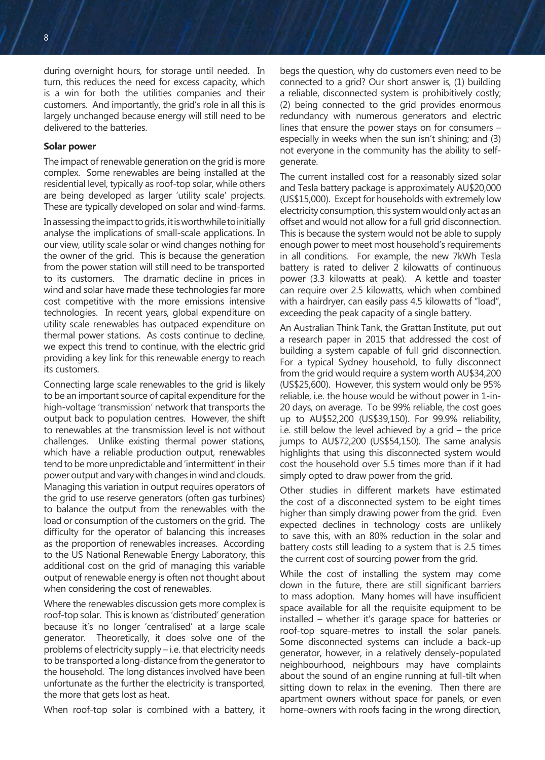8 a dhe ann an t-Iaith ann an t-Iaith ann an t-Iaith ann an t-Iaith ann an t-Iaith ann an t-Iaith ann an t-Iai

during overnight hours, for storage until needed. In turn, this reduces the need for excess capacity, which is a win for both the utilities companies and their customers. And importantly, the grid's role in all this is largely unchanged because energy will still need to be delivered to the batteries.

#### **Solar power**

The impact of renewable generation on the grid is more complex. Some renewables are being installed at the residential level, typically as roof-top solar, while others are being developed as larger 'utility scale' projects. These are typically developed on solar and wind-farms.

In assessing the impact to grids, it is worthwhile to initially analyse the implications of small-scale applications. In our view, utility scale solar or wind changes nothing for the owner of the grid. This is because the generation from the power station will still need to be transported to its customers. The dramatic decline in prices in wind and solar have made these technologies far more cost competitive with the more emissions intensive technologies. In recent years, global expenditure on utility scale renewables has outpaced expenditure on thermal power stations. As costs continue to decline, we expect this trend to continue, with the electric grid providing a key link for this renewable energy to reach its customers.

Connecting large scale renewables to the grid is likely to be an important source of capital expenditure for the high-voltage 'transmission' network that transports the output back to population centres. However, the shift to renewables at the transmission level is not without challenges. Unlike existing thermal power stations, which have a reliable production output, renewables tend to be more unpredictable and 'intermittent' in their power output and vary with changes in wind and clouds. Managing this variation in output requires operators of the grid to use reserve generators (often gas turbines) to balance the output from the renewables with the load or consumption of the customers on the grid. The difficulty for the operator of balancing this increases as the proportion of renewables increases. According to the US National Renewable Energy Laboratory, this additional cost on the grid of managing this variable output of renewable energy is often not thought about when considering the cost of renewables.

Where the renewables discussion gets more complex is roof-top solar. This is known as 'distributed' generation because it's no longer 'centralised' at a large scale generator. Theoretically, it does solve one of the problems of electricity supply – i.e. that electricity needs to be transported a long-distance from the generator to the household. The long distances involved have been unfortunate as the further the electricity is transported, the more that gets lost as heat.

When roof-top solar is combined with a battery, it

begs the question, why do customers even need to be connected to a grid? Our short answer is, (1) building a reliable, disconnected system is prohibitively costly; (2) being connected to the grid provides enormous redundancy with numerous generators and electric lines that ensure the power stays on for consumers – especially in weeks when the sun isn't shining; and (3) not everyone in the community has the ability to selfgenerate.

The current installed cost for a reasonably sized solar and Tesla battery package is approximately AU\$20,000 (US\$15,000). Except for households with extremely low electricity consumption, this system would only act as an offset and would not allow for a full grid disconnection. This is because the system would not be able to supply enough power to meet most household's requirements in all conditions. For example, the new 7kWh Tesla battery is rated to deliver 2 kilowatts of continuous power (3.3 kilowatts at peak). A kettle and toaster can require over 2.5 kilowatts, which when combined with a hairdryer, can easily pass 4.5 kilowatts of "load", exceeding the peak capacity of a single battery.

An Australian Think Tank, the Grattan Institute, put out a research paper in 2015 that addressed the cost of building a system capable of full grid disconnection. For a typical Sydney household, to fully disconnect from the grid would require a system worth AU\$34,200 (US\$25,600). However, this system would only be 95% reliable, i.e. the house would be without power in 1-in-20 days, on average. To be 99% reliable, the cost goes up to AU\$52,200 (US\$39,150). For 99.9% reliability, i.e. still below the level achieved by a grid – the price jumps to AU\$72,200 (US\$54,150). The same analysis highlights that using this disconnected system would cost the household over 5.5 times more than if it had simply opted to draw power from the grid.

Other studies in different markets have estimated the cost of a disconnected system to be eight times higher than simply drawing power from the grid. Even expected declines in technology costs are unlikely to save this, with an 80% reduction in the solar and battery costs still leading to a system that is 2.5 times the current cost of sourcing power from the grid.

While the cost of installing the system may come down in the future, there are still significant barriers to mass adoption. Many homes will have insufficient space available for all the requisite equipment to be installed – whether it's garage space for batteries or roof-top square-metres to install the solar panels. Some disconnected systems can include a back-up generator, however, in a relatively densely-populated neighbourhood, neighbours may have complaints about the sound of an engine running at full-tilt when sitting down to relax in the evening. Then there are apartment owners without space for panels, or even home-owners with roofs facing in the wrong direction,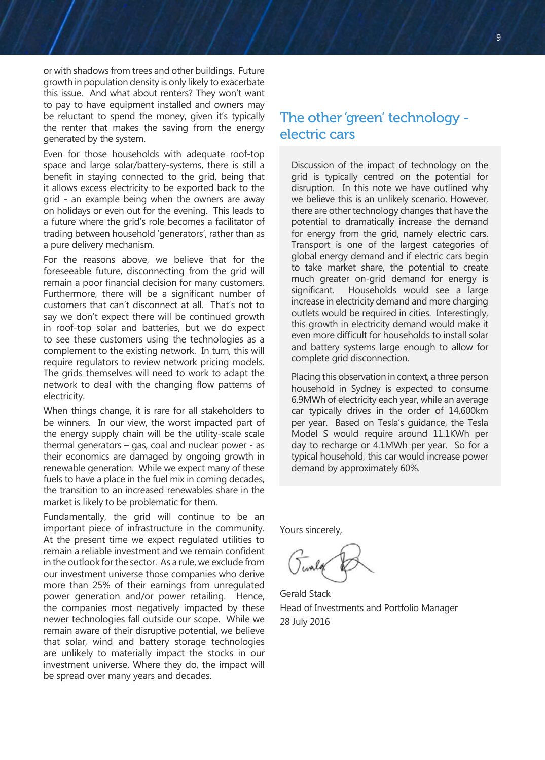or with shadows from trees and other buildings. Future growth in population density is only likely to exacerbate this issue. And what about renters? They won't want to pay to have equipment installed and owners may be reluctant to spend the money, given it's typically the renter that makes the saving from the energy generated by the system.

Even for those households with adequate roof-top space and large solar/battery-systems, there is still a benefit in staying connected to the grid, being that it allows excess electricity to be exported back to the grid - an example being when the owners are away on holidays or even out for the evening. This leads to a future where the grid's role becomes a facilitator of trading between household 'generators', rather than as a pure delivery mechanism.

For the reasons above, we believe that for the foreseeable future, disconnecting from the grid will remain a poor financial decision for many customers. Furthermore, there will be a significant number of customers that can't disconnect at all. That's not to say we don't expect there will be continued growth in roof-top solar and batteries, but we do expect to see these customers using the technologies as a complement to the existing network. In turn, this will require regulators to review network pricing models. The grids themselves will need to work to adapt the network to deal with the changing flow patterns of electricity.

When things change, it is rare for all stakeholders to be winners. In our view, the worst impacted part of the energy supply chain will be the utility-scale scale thermal generators – gas, coal and nuclear power - as their economics are damaged by ongoing growth in renewable generation. While we expect many of these fuels to have a place in the fuel mix in coming decades, the transition to an increased renewables share in the market is likely to be problematic for them.

Fundamentally, the grid will continue to be an important piece of infrastructure in the community. At the present time we expect regulated utilities to remain a reliable investment and we remain confident in the outlook for the sector. As a rule, we exclude from our investment universe those companies who derive more than 25% of their earnings from unregulated power generation and/or power retailing. Hence, the companies most negatively impacted by these newer technologies fall outside our scope. While we remain aware of their disruptive potential, we believe that solar, wind and battery storage technologies are unlikely to materially impact the stocks in our investment universe. Where they do, the impact will be spread over many years and decades.

# The other 'green' technology electric cars

Discussion of the impact of technology on the grid is typically centred on the potential for disruption. In this note we have outlined why we believe this is an unlikely scenario. However, there are other technology changes that have the potential to dramatically increase the demand for energy from the grid, namely electric cars. Transport is one of the largest categories of global energy demand and if electric cars begin to take market share, the potential to create much greater on-grid demand for energy is significant. Households would see a large increase in electricity demand and more charging outlets would be required in cities. Interestingly, this growth in electricity demand would make it even more difficult for households to install solar and battery systems large enough to allow for complete grid disconnection.

Placing this observation in context, a three person household in Sydney is expected to consume 6.9MWh of electricity each year, while an average car typically drives in the order of 14,600km per year. Based on Tesla's guidance, the Tesla Model S would require around 11.1KWh per day to recharge or 4.1MWh per year. So for a typical household, this car would increase power demand by approximately 60%.

Yours sincerely,

Gerald Stack Head of Investments and Portfolio Manager 28 July 2016